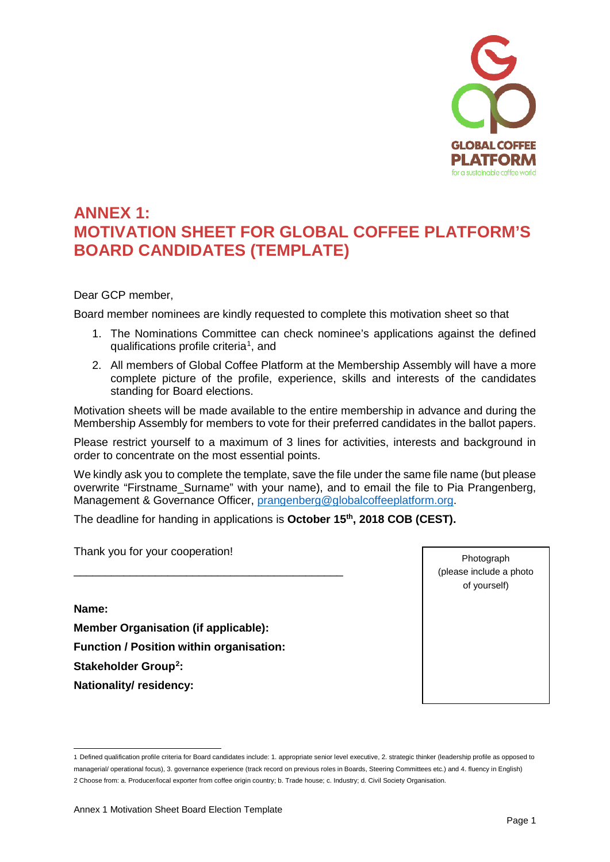

# **ANNEX 1: MOTIVATION SHEET FOR GLOBAL COFFEE PLATFORM'S BOARD CANDIDATES (TEMPLATE)**

## Dear GCP member,

Board member nominees are kindly requested to complete this motivation sheet so that

- 1. The Nominations Committee can check nominee's applications against the defined qualifications profile criteria<sup>[1](#page-0-0)</sup>, and
- 2. All members of Global Coffee Platform at the Membership Assembly will have a more complete picture of the profile, experience, skills and interests of the candidates standing for Board elections.

Motivation sheets will be made available to the entire membership in advance and during the Membership Assembly for members to vote for their preferred candidates in the ballot papers.

Please restrict yourself to a maximum of 3 lines for activities, interests and background in order to concentrate on the most essential points.

We kindly ask you to complete the template, save the file under the same file name (but please overwrite "Firstname\_Surname" with your name), and to email the file to Pia Prangenberg, Management & Governance Officer, [prangenberg@globalcoffeeplatform.org.](mailto:prangenberg@globalcoffeeplatform.org)

The deadline for handing in applications is **October 15th, 2018 COB (CEST).**

Thank you for your cooperation!

**Name:**

.

**Member Organisation (if applicable): Function / Position within organisation: Stakeholder Grou[p2](#page-0-1) : Nationality/ residency:** 

\_\_\_\_\_\_\_\_\_\_\_\_\_\_\_\_\_\_\_\_\_\_\_\_\_\_\_\_\_\_\_\_\_\_\_\_\_\_\_\_\_\_\_

Photograph (please include a photo of yourself)

<span id="page-0-1"></span><span id="page-0-0"></span><sup>1</sup> Defined qualification profile criteria for Board candidates include: 1. appropriate senior level executive, 2. strategic thinker (leadership profile as opposed to managerial/ operational focus), 3. governance experience (track record on previous roles in Boards, Steering Committees etc.) and 4. fluency in English) 2 Choose from: a. Producer/local exporter from coffee origin country; b. Trade house; c. Industry; d. Civil Society Organisation.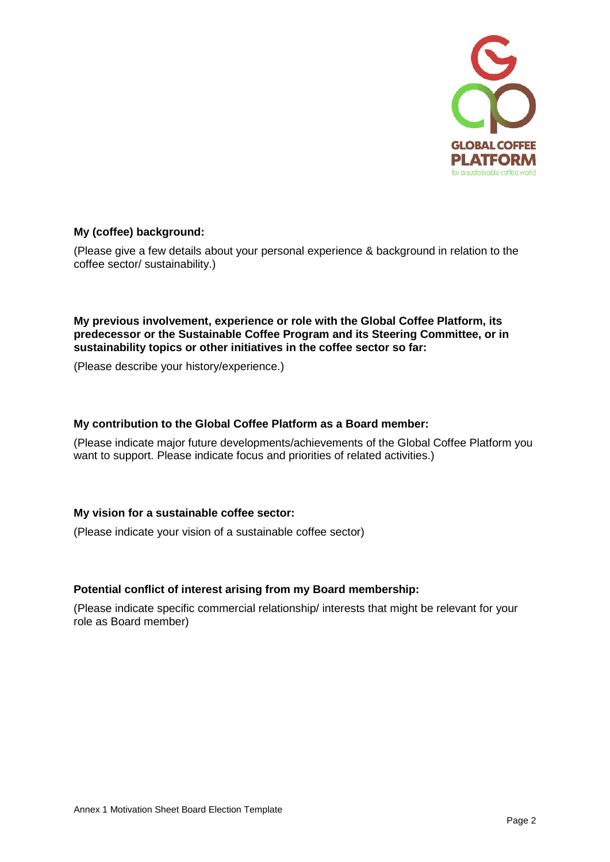

## **My (coffee) background:**

(Please give a few details about your personal experience & background in relation to the coffee sector/ sustainability.)

**My previous involvement, experience or role with the Global Coffee Platform, its predecessor or the Sustainable Coffee Program and its Steering Committee, or in sustainability topics or other initiatives in the coffee sector so far:**

(Please describe your history/experience.)

## **My contribution to the Global Coffee Platform as a Board member:**

(Please indicate major future developments/achievements of the Global Coffee Platform you want to support. Please indicate focus and priorities of related activities.)

## **My vision for a sustainable coffee sector:**

(Please indicate your vision of a sustainable coffee sector)

## **Potential conflict of interest arising from my Board membership:**

(Please indicate specific commercial relationship/ interests that might be relevant for your role as Board member)